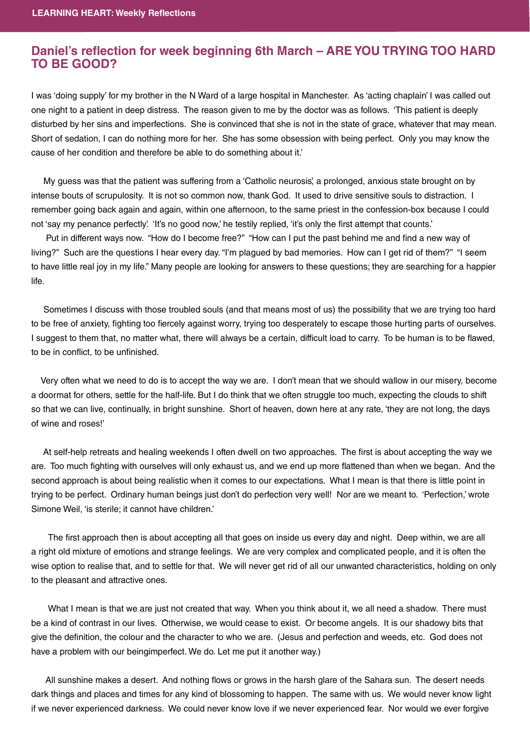## **Daniel's reflection for week beginning 6th March – ARE YOU TRYING TOO HARD TO BE GOOD? TO BE GOOD?**

I was 'doing supply' for my brother in the N Ward of a large hospital in Manchester. As 'acting chaplain' I was called out one night to a patient in deep distress. The reason given to me by the doctor was as follows. 'This patient is deeply disturbed by her sins and imperfections. She is convinced that she is not in the state of grace, whatever that may mean. Short of sedation, I can do nothing more for her. She has some obsession with being perfect. Only you may know the cause of her condition and therefore be able to do something about it.'

 My guess was that the patient was suffering from a 'Catholic neurosis', a prolonged, anxious state brought on by intense bouts of scrupulosity. It is not so common now, thank God. It used to drive sensitive souls to distraction. I remember going back again and again, within one afternoon, to the same priest in the confession-box because I could not 'say my penance perfectly'. 'It's no good now,' he testily replied, 'it's only the first attempt that counts.'

Put in different ways now. "How do I become free?" "How can I put the past behind me and find a new way of living?" Such are the questions I hear every day. "I'm plagued by bad memories. How can I get rid of them?" "I seem to have little real joy in my life." Many people are looking for answers to these questions; they are searching for a happier life.

 Sometimes I discuss with those troubled souls (and that means most of us) the possibility that we are trying too hard to be free of anxiety, fighting too fiercely against worry, trying too desperately to escape those hurting parts of ourselves. I suggest to them that, no matter what, there will always be a certain, difficult load to carry. To be human is to be flawed, to be in conflict, to be unfinished.

 Very often what we need to do is to accept the way we are. I don't mean that we should wallow in our misery, become a doormat for others, settle for the half-life. But I do think that we often struggle too much, expecting the clouds to shift so that we can live, continually, in bright sunshine. Short of heaven, down here at any rate, 'they are not long, the days of wine and roses!'

At self-help retreats and healing weekends I often dwell on two approaches. The first is about accepting the way we are. Too much fighting with ourselves will only exhaust us, and we end up more flattened than when we began. And the second approach is about being realistic when it comes to our expectations. What I mean is that there is little point in trying to be perfect. Ordinary human beings just don't do perfection very well! Nor are we meant to. 'Perfection,' wrote Simone Weil, 'is sterile; it cannot have children.'

The first approach then is about accepting all that goes on inside us every day and night. Deep within, we are all a right old mixture of emotions and strange feelings. We are very complex and complicated people, and it is often the wise option to realise that, and to settle for that. We will never get rid of all our unwanted characteristics, holding on only to the pleasant and attractive ones.

 What I mean is that we are just not created that way. When you think about it, we all need a shadow. There must be a kind of contrast in our lives. Otherwise, we would cease to exist. Or become angels. It is our shadowy bits that give the definition, the colour and the character to who we are. (Jesus and perfection and weeds, etc. God does not have a problem with our beingimperfect. We do. Let me put it another way.)

All sunshine makes a desert. And nothing flows or grows in the harsh glare of the Sahara sun. The desert needs dark things and places and times for any kind of blossoming to happen. The same with us. We would never know light if we never experienced darkness. We could never know love if we never experienced fear. Nor would we ever forgive